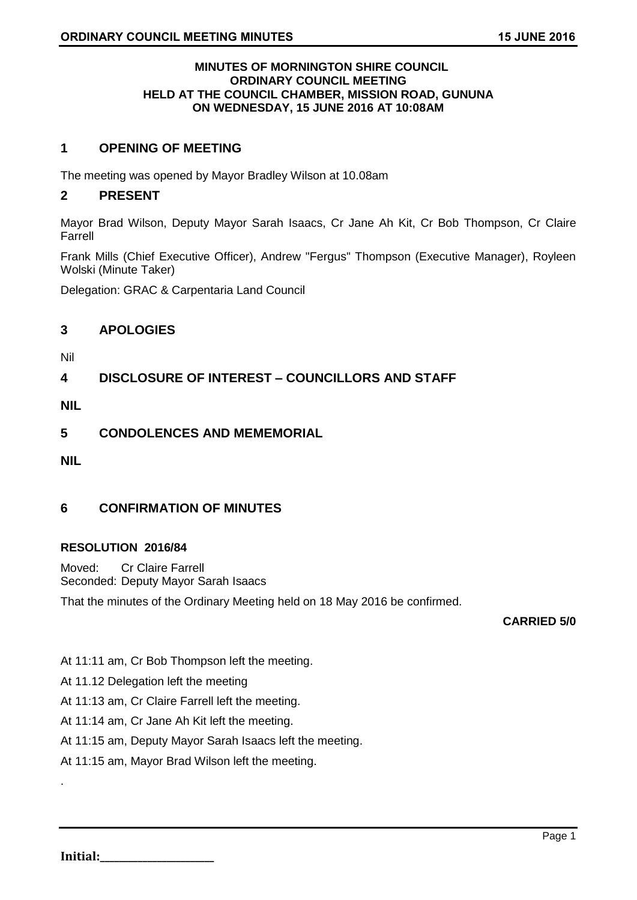### **MINUTES OF MORNINGTON SHIRE COUNCIL ORDINARY COUNCIL MEETING HELD AT THE COUNCIL CHAMBER, MISSION ROAD, GUNUNA ON WEDNESDAY, 15 JUNE 2016 AT 10:08AM**

# **1 OPENING OF MEETING**

The meeting was opened by Mayor Bradley Wilson at 10.08am

# **2 PRESENT**

Mayor Brad Wilson, Deputy Mayor Sarah Isaacs, Cr Jane Ah Kit, Cr Bob Thompson, Cr Claire Farrell

Frank Mills (Chief Executive Officer), Andrew "Fergus" Thompson (Executive Manager), Royleen Wolski (Minute Taker)

Delegation: GRAC & Carpentaria Land Council

# **3 APOLOGIES**

Nil

**4 DISCLOSURE OF INTEREST – COUNCILLORS AND STAFF**

**NIL**

**5 CONDOLENCES AND MEMEMORIAL**

**NIL**

# **6 CONFIRMATION OF MINUTES**

### **RESOLUTION 2016/84**

Moved: Cr Claire Farrell Seconded: Deputy Mayor Sarah Isaacs

That the minutes of the Ordinary Meeting held on 18 May 2016 be confirmed.

### **CARRIED 5/0**

At 11:11 am, Cr Bob Thompson left the meeting.

At 11.12 Delegation left the meeting

At 11:13 am, Cr Claire Farrell left the meeting.

At 11:14 am, Cr Jane Ah Kit left the meeting.

At 11:15 am, Deputy Mayor Sarah Isaacs left the meeting.

At 11:15 am, Mayor Brad Wilson left the meeting.

**Initial:** 

.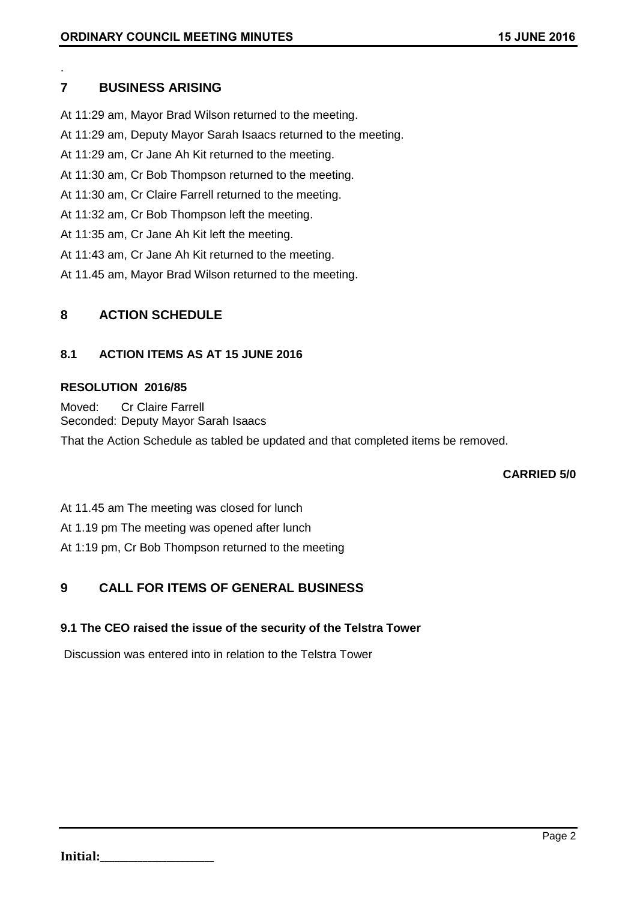# **7 BUSINESS ARISING**

.

At 11:29 am, Mayor Brad Wilson returned to the meeting.

- At 11:29 am, Deputy Mayor Sarah Isaacs returned to the meeting.
- At 11:29 am, Cr Jane Ah Kit returned to the meeting.
- At 11:30 am, Cr Bob Thompson returned to the meeting.
- At 11:30 am, Cr Claire Farrell returned to the meeting.
- At 11:32 am, Cr Bob Thompson left the meeting.
- At 11:35 am, Cr Jane Ah Kit left the meeting.
- At 11:43 am, Cr Jane Ah Kit returned to the meeting.
- At 11.45 am, Mayor Brad Wilson returned to the meeting.

# **8 ACTION SCHEDULE**

# **8.1 ACTION ITEMS AS AT 15 JUNE 2016**

# **RESOLUTION 2016/85**

Moved: Cr Claire Farrell Seconded: Deputy Mayor Sarah Isaacs

That the Action Schedule as tabled be updated and that completed items be removed.

# **CARRIED 5/0**

At 11.45 am The meeting was closed for lunch

At 1.19 pm The meeting was opened after lunch

At 1:19 pm, Cr Bob Thompson returned to the meeting

# **9 CALL FOR ITEMS OF GENERAL BUSINESS**

# **9.1 The CEO raised the issue of the security of the Telstra Tower**

Discussion was entered into in relation to the Telstra Tower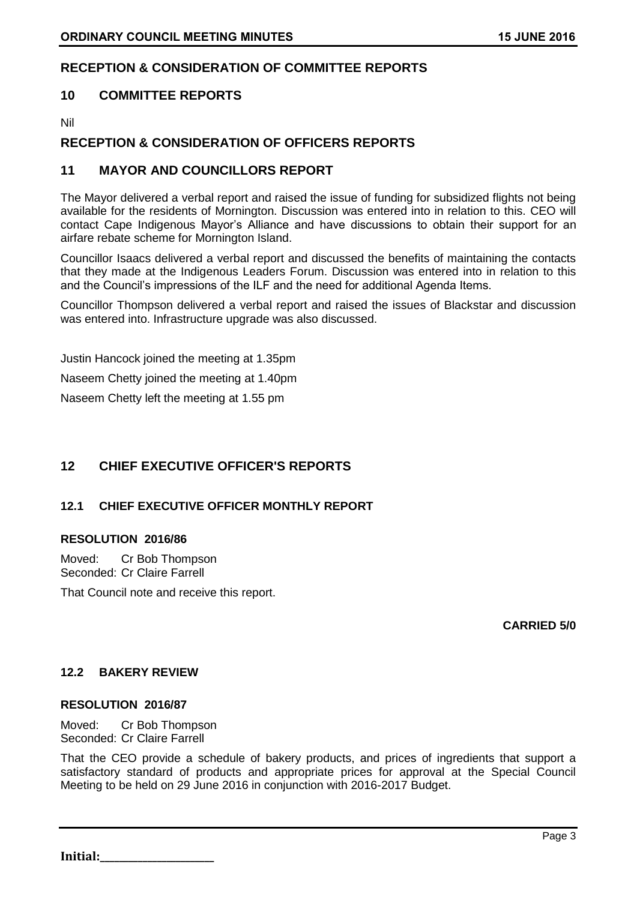# **RECEPTION & CONSIDERATION OF COMMITTEE REPORTS**

# **10 COMMITTEE REPORTS**

Nil

# **RECEPTION & CONSIDERATION OF OFFICERS REPORTS**

# **11 MAYOR AND COUNCILLORS REPORT**

The Mayor delivered a verbal report and raised the issue of funding for subsidized flights not being available for the residents of Mornington. Discussion was entered into in relation to this. CEO will contact Cape Indigenous Mayor's Alliance and have discussions to obtain their support for an airfare rebate scheme for Mornington Island.

Councillor Isaacs delivered a verbal report and discussed the benefits of maintaining the contacts that they made at the Indigenous Leaders Forum. Discussion was entered into in relation to this and the Council's impressions of the ILF and the need for additional Agenda Items.

Councillor Thompson delivered a verbal report and raised the issues of Blackstar and discussion was entered into. Infrastructure upgrade was also discussed.

Justin Hancock joined the meeting at 1.35pm Naseem Chetty joined the meeting at 1.40pm Naseem Chetty left the meeting at 1.55 pm

# **12 CHIEF EXECUTIVE OFFICER'S REPORTS**

# **12.1 CHIEF EXECUTIVE OFFICER MONTHLY REPORT**

### **RESOLUTION 2016/86**

Moved: Cr Bob Thompson Seconded: Cr Claire Farrell

That Council note and receive this report.

**CARRIED 5/0**

### **12.2 BAKERY REVIEW**

### **RESOLUTION 2016/87**

Moved: Cr Bob Thompson Seconded: Cr Claire Farrell

That the CEO provide a schedule of bakery products, and prices of ingredients that support a satisfactory standard of products and appropriate prices for approval at the Special Council Meeting to be held on 29 June 2016 in conjunction with 2016-2017 Budget.

**Initial:**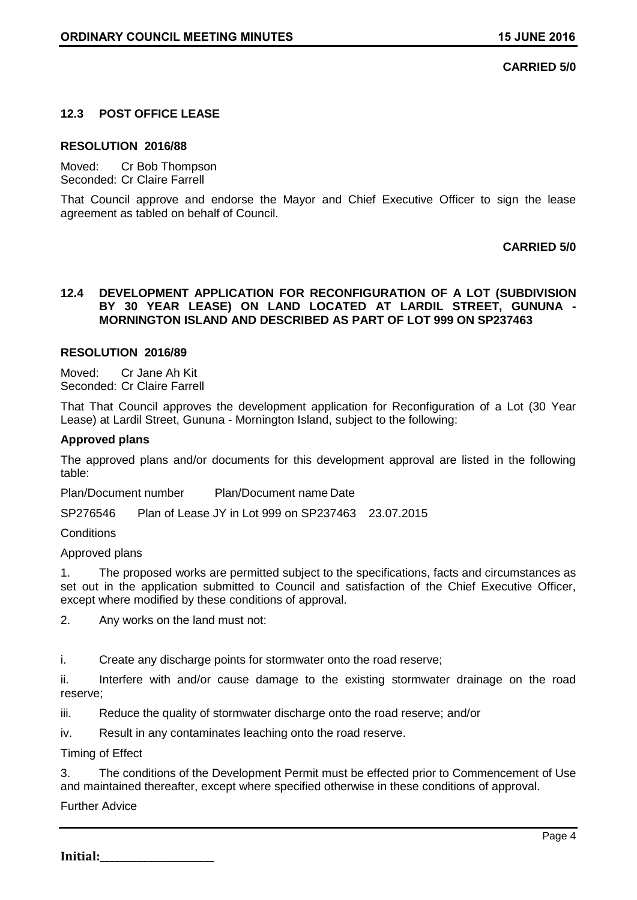## **CARRIED 5/0**

## **12.3 POST OFFICE LEASE**

#### **RESOLUTION 2016/88**

Moved: Cr Bob Thompson Seconded: Cr Claire Farrell

That Council approve and endorse the Mayor and Chief Executive Officer to sign the lease agreement as tabled on behalf of Council.

### **CARRIED 5/0**

### **12.4 DEVELOPMENT APPLICATION FOR RECONFIGURATION OF A LOT (SUBDIVISION BY 30 YEAR LEASE) ON LAND LOCATED AT LARDIL STREET, GUNUNA - MORNINGTON ISLAND AND DESCRIBED AS PART OF LOT 999 ON SP237463**

#### **RESOLUTION 2016/89**

Moved: Cr Jane Ah Kit Seconded: Cr Claire Farrell

That That Council approves the development application for Reconfiguration of a Lot (30 Year Lease) at Lardil Street, Gununa - Mornington Island, subject to the following:

#### **Approved plans**

The approved plans and/or documents for this development approval are listed in the following table:

Plan/Document number Plan/Document name Date

SP276546 Plan of Lease JY in Lot 999 on SP237463 23.07.2015

**Conditions** 

Approved plans

1. The proposed works are permitted subject to the specifications, facts and circumstances as set out in the application submitted to Council and satisfaction of the Chief Executive Officer, except where modified by these conditions of approval.

2. Any works on the land must not:

i. Create any discharge points for stormwater onto the road reserve;

ii. Interfere with and/or cause damage to the existing stormwater drainage on the road reserve;

iii. Reduce the quality of stormwater discharge onto the road reserve; and/or

iv. Result in any contaminates leaching onto the road reserve.

Timing of Effect

3. The conditions of the Development Permit must be effected prior to Commencement of Use and maintained thereafter, except where specified otherwise in these conditions of approval.

Further Advice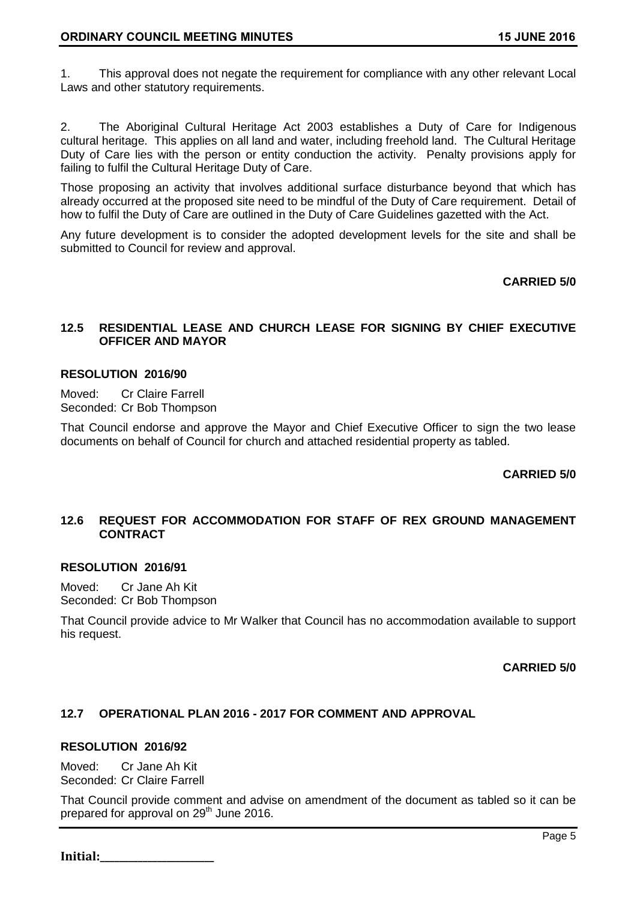1. This approval does not negate the requirement for compliance with any other relevant Local Laws and other statutory requirements.

2. The Aboriginal Cultural Heritage Act 2003 establishes a Duty of Care for Indigenous cultural heritage. This applies on all land and water, including freehold land. The Cultural Heritage Duty of Care lies with the person or entity conduction the activity. Penalty provisions apply for failing to fulfil the Cultural Heritage Duty of Care.

Those proposing an activity that involves additional surface disturbance beyond that which has already occurred at the proposed site need to be mindful of the Duty of Care requirement. Detail of how to fulfil the Duty of Care are outlined in the Duty of Care Guidelines gazetted with the Act.

Any future development is to consider the adopted development levels for the site and shall be submitted to Council for review and approval.

### **CARRIED 5/0**

## **12.5 RESIDENTIAL LEASE AND CHURCH LEASE FOR SIGNING BY CHIEF EXECUTIVE OFFICER AND MAYOR**

### **RESOLUTION 2016/90**

Moved: Cr Claire Farrell Seconded: Cr Bob Thompson

That Council endorse and approve the Mayor and Chief Executive Officer to sign the two lease documents on behalf of Council for church and attached residential property as tabled.

# **CARRIED 5/0**

# **12.6 REQUEST FOR ACCOMMODATION FOR STAFF OF REX GROUND MANAGEMENT CONTRACT**

### **RESOLUTION 2016/91**

Moved: Cr Jane Ah Kit Seconded: Cr Bob Thompson

That Council provide advice to Mr Walker that Council has no accommodation available to support his request.

### **CARRIED 5/0**

# **12.7 OPERATIONAL PLAN 2016 - 2017 FOR COMMENT AND APPROVAL**

### **RESOLUTION 2016/92**

Moved: Cr Jane Ah Kit Seconded: Cr Claire Farrell

That Council provide comment and advise on amendment of the document as tabled so it can be prepared for approval on 29<sup>th</sup> June 2016.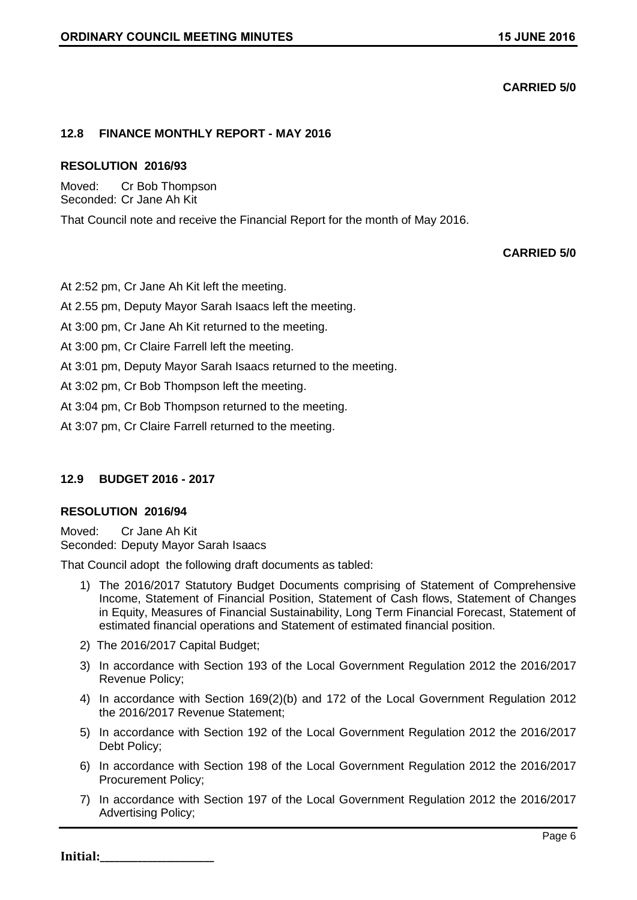# **CARRIED 5/0**

## **12.8 FINANCE MONTHLY REPORT - MAY 2016**

### **RESOLUTION 2016/93**

Moved: Cr Bob Thompson Seconded: Cr Jane Ah Kit

That Council note and receive the Financial Report for the month of May 2016.

# **CARRIED 5/0**

At 2:52 pm, Cr Jane Ah Kit left the meeting.

At 2.55 pm, Deputy Mayor Sarah Isaacs left the meeting.

At 3:00 pm, Cr Jane Ah Kit returned to the meeting.

At 3:00 pm, Cr Claire Farrell left the meeting.

At 3:01 pm, Deputy Mayor Sarah Isaacs returned to the meeting.

At 3:02 pm, Cr Bob Thompson left the meeting.

At 3:04 pm, Cr Bob Thompson returned to the meeting.

At 3:07 pm, Cr Claire Farrell returned to the meeting.

# **12.9 BUDGET 2016 - 2017**

### **RESOLUTION 2016/94**

Moved: Cr Jane Ah Kit Seconded: Deputy Mayor Sarah Isaacs

That Council adopt the following draft documents as tabled:

- 1) The 2016/2017 Statutory Budget Documents comprising of Statement of Comprehensive Income, Statement of Financial Position, Statement of Cash flows, Statement of Changes in Equity, Measures of Financial Sustainability, Long Term Financial Forecast, Statement of estimated financial operations and Statement of estimated financial position.
- 2) The 2016/2017 Capital Budget;
- 3) In accordance with Section 193 of the Local Government Regulation 2012 the 2016/2017 Revenue Policy;
- 4) In accordance with Section 169(2)(b) and 172 of the Local Government Regulation 2012 the 2016/2017 Revenue Statement;
- 5) In accordance with Section 192 of the Local Government Regulation 2012 the 2016/2017 Debt Policy;
- 6) In accordance with Section 198 of the Local Government Regulation 2012 the 2016/2017 Procurement Policy;
- 7) In accordance with Section 197 of the Local Government Regulation 2012 the 2016/2017 Advertising Policy;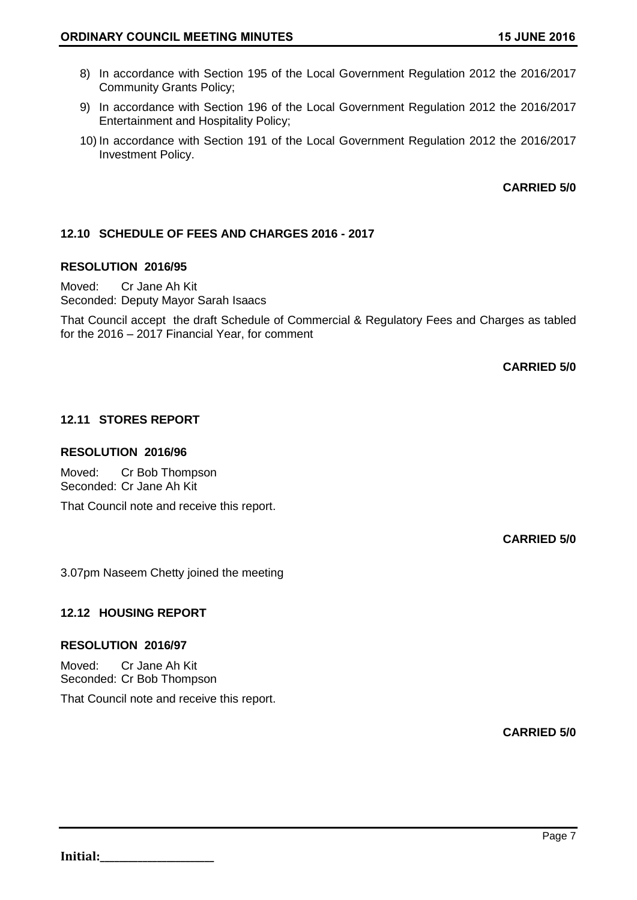- 8) In accordance with Section 195 of the Local Government Regulation 2012 the 2016/2017 Community Grants Policy;
- 9) In accordance with Section 196 of the Local Government Regulation 2012 the 2016/2017 Entertainment and Hospitality Policy;
- 10) In accordance with Section 191 of the Local Government Regulation 2012 the 2016/2017 Investment Policy.

**CARRIED 5/0**

# **12.10 SCHEDULE OF FEES AND CHARGES 2016 - 2017**

### **RESOLUTION 2016/95**

Moved: Cr Jane Ah Kit Seconded: Deputy Mayor Sarah Isaacs

That Council accept the draft Schedule of Commercial & Regulatory Fees and Charges as tabled for the 2016 – 2017 Financial Year, for comment

**CARRIED 5/0**

# **12.11 STORES REPORT**

### **RESOLUTION 2016/96**

Moved: Cr Bob Thompson Seconded: Cr Jane Ah Kit

That Council note and receive this report.

**CARRIED 5/0**

3.07pm Naseem Chetty joined the meeting

# **12.12 HOUSING REPORT**

### **RESOLUTION 2016/97**

Moved: Cr Jane Ah Kit Seconded: Cr Bob Thompson That Council note and receive this report.

**CARRIED 5/0**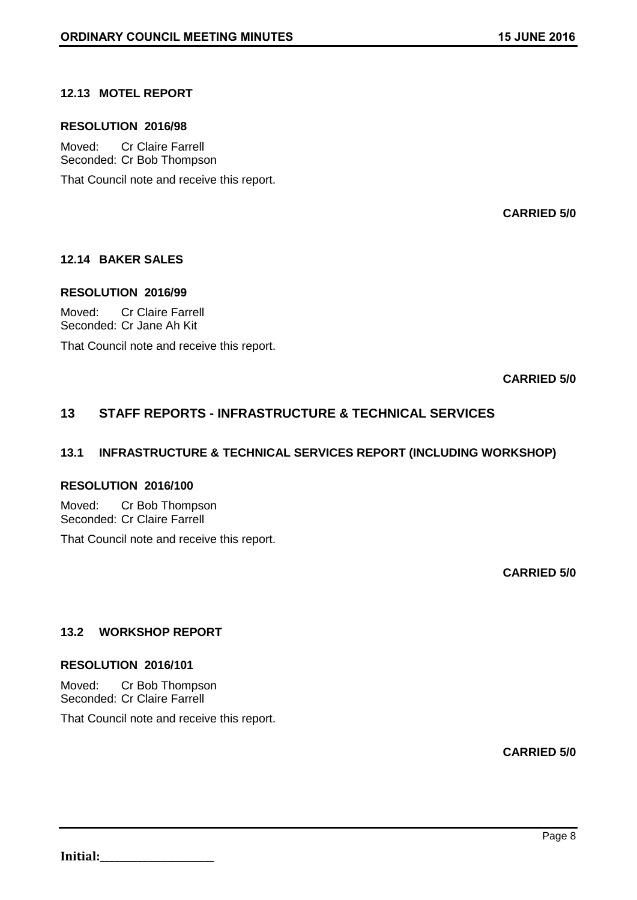# **12.13 MOTEL REPORT**

#### **RESOLUTION 2016/98**

Moved: Cr Claire Farrell Seconded: Cr Bob Thompson

That Council note and receive this report.

**CARRIED 5/0**

### **12.14 BAKER SALES**

### **RESOLUTION 2016/99**

Moved: Cr Claire Farrell Seconded: Cr Jane Ah Kit

That Council note and receive this report.

**CARRIED 5/0**

# **13 STAFF REPORTS - INFRASTRUCTURE & TECHNICAL SERVICES**

## **13.1 INFRASTRUCTURE & TECHNICAL SERVICES REPORT (INCLUDING WORKSHOP)**

## **RESOLUTION 2016/100**

Moved: Cr Bob Thompson Seconded: Cr Claire Farrell

That Council note and receive this report.

**CARRIED 5/0**

# **13.2 WORKSHOP REPORT**

### **RESOLUTION 2016/101**

Moved: Cr Bob Thompson Seconded: Cr Claire Farrell

That Council note and receive this report.

**CARRIED 5/0**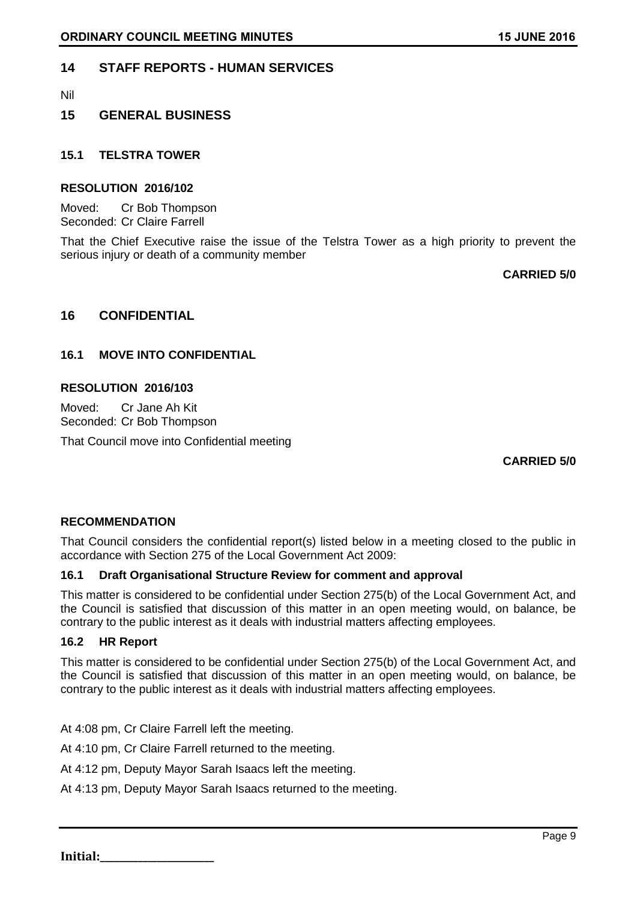# **14 STAFF REPORTS - HUMAN SERVICES**

Nil

# **15 GENERAL BUSINESS**

## **15.1 TELSTRA TOWER**

### **RESOLUTION 2016/102**

Moved: Cr Bob Thompson Seconded: Cr Claire Farrell

That the Chief Executive raise the issue of the Telstra Tower as a high priority to prevent the serious injury or death of a community member

**CARRIED 5/0**

# **16 CONFIDENTIAL**

# **16.1 MOVE INTO CONFIDENTIAL**

### **RESOLUTION 2016/103**

Moved: Cr Jane Ah Kit Seconded: Cr Bob Thompson

That Council move into Confidential meeting

**CARRIED 5/0**

### **RECOMMENDATION**

That Council considers the confidential report(s) listed below in a meeting closed to the public in accordance with Section 275 of the Local Government Act 2009:

### **16.1 Draft Organisational Structure Review for comment and approval**

This matter is considered to be confidential under Section 275(b) of the Local Government Act, and the Council is satisfied that discussion of this matter in an open meeting would, on balance, be contrary to the public interest as it deals with industrial matters affecting employees.

### **16.2 HR Report**

This matter is considered to be confidential under Section 275(b) of the Local Government Act, and the Council is satisfied that discussion of this matter in an open meeting would, on balance, be contrary to the public interest as it deals with industrial matters affecting employees.

At 4:08 pm, Cr Claire Farrell left the meeting.

At 4:10 pm, Cr Claire Farrell returned to the meeting.

At 4:12 pm, Deputy Mayor Sarah Isaacs left the meeting.

At 4:13 pm, Deputy Mayor Sarah Isaacs returned to the meeting.